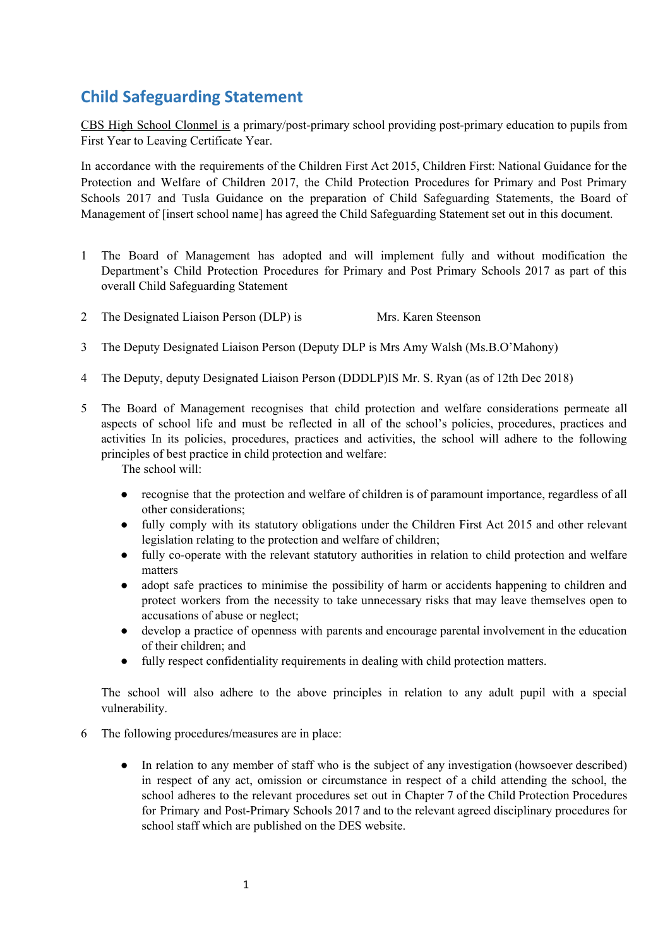# **Child Safeguarding Statement**

CBS High School Clonmel is a primary/post-primary school providing post-primary education to pupils from First Year to Leaving Certificate Year.

In accordance with the requirements of the Children First Act 2015, Children First: National Guidance for the Protection and Welfare of Children 2017, the Child Protection Procedures for Primary and Post Primary Schools 2017 and Tusla Guidance on the preparation of Child Safeguarding Statements, the Board of Management of [insert school name] has agreed the Child Safeguarding Statement set out in this document.

- 1 The Board of Management has adopted and will implement fully and without modification the Department's Child Protection Procedures for Primary and Post Primary Schools 2017 as part of this overall Child Safeguarding Statement
- 2 The Designated Liaison Person (DLP) is Mrs. Karen Steenson
- 3 The Deputy Designated Liaison Person (Deputy DLP is Mrs Amy Walsh (Ms.B.O'Mahony)
- 4 The Deputy, deputy Designated Liaison Person (DDDLP)IS Mr. S. Ryan (as of 12th Dec 2018)
- 5 The Board of Management recognises that child protection and welfare considerations permeate all aspects of school life and must be reflected in all of the school's policies, procedures, practices and activities In its policies, procedures, practices and activities, the school will adhere to the following principles of best practice in child protection and welfare:

The school will:

- recognise that the protection and welfare of children is of paramount importance, regardless of all other considerations;
- fully comply with its statutory obligations under the Children First Act 2015 and other relevant legislation relating to the protection and welfare of children;
- fully co-operate with the relevant statutory authorities in relation to child protection and welfare matters
- adopt safe practices to minimise the possibility of harm or accidents happening to children and protect workers from the necessity to take unnecessary risks that may leave themselves open to accusations of abuse or neglect;
- develop a practice of openness with parents and encourage parental involvement in the education of their children; and
- fully respect confidentiality requirements in dealing with child protection matters.

The school will also adhere to the above principles in relation to any adult pupil with a special vulnerability.

- 6 The following procedures/measures are in place:
	- In relation to any member of staff who is the subject of any investigation (howsoever described) in respect of any act, omission or circumstance in respect of a child attending the school, the school adheres to the relevant procedures set out in Chapter 7 of the Child Protection Procedures for Primary and Post-Primary Schools 2017 and to the relevant agreed disciplinary procedures for school staff which are published on the DES website.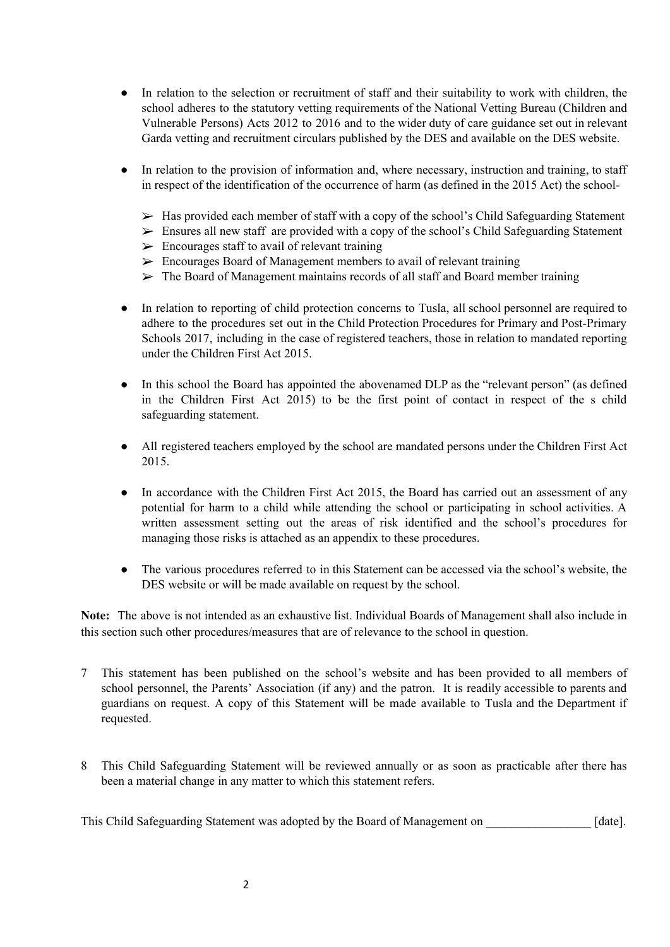- In relation to the selection or recruitment of staff and their suitability to work with children, the school adheres to the statutory vetting requirements of the National Vetting Bureau (Children and Vulnerable Persons) Acts 2012 to 2016 and to the wider duty of care guidance set out in relevant Garda vetting and recruitment circulars published by the DES and available on the DES website.
- In relation to the provision of information and, where necessary, instruction and training, to staff in respect of the identification of the occurrence of harm (as defined in the 2015 Act) the school-
	- $\triangleright$  Has provided each member of staff with a copy of the school's Child Safeguarding Statement
	- $\triangleright$  Ensures all new staff are provided with a copy of the school's Child Safeguarding Statement
	- $\triangleright$  Encourages staff to avail of relevant training
	- $\triangleright$  Encourages Board of Management members to avail of relevant training
	- $\triangleright$  The Board of Management maintains records of all staff and Board member training
- In relation to reporting of child protection concerns to Tusla, all school personnel are required to adhere to the procedures set out in the Child Protection Procedures for Primary and Post-Primary Schools 2017, including in the case of registered teachers, those in relation to mandated reporting under the Children First Act 2015.
- In this school the Board has appointed the abovenamed DLP as the "relevant person" (as defined in the Children First Act 2015) to be the first point of contact in respect of the s child safeguarding statement.
- All registered teachers employed by the school are mandated persons under the Children First Act 2015.
- In accordance with the Children First Act 2015, the Board has carried out an assessment of any potential for harm to a child while attending the school or participating in school activities. A written assessment setting out the areas of risk identified and the school's procedures for managing those risks is attached as an appendix to these procedures.
- The various procedures referred to in this Statement can be accessed via the school's website, the DES website or will be made available on request by the school.

**Note:** The above is not intended as an exhaustive list. Individual Boards of Management shall also include in this section such other procedures/measures that are of relevance to the school in question.

- 7 This statement has been published on the school's website and has been provided to all members of school personnel, the Parents' Association (if any) and the patron. It is readily accessible to parents and guardians on request. A copy of this Statement will be made available to Tusla and the Department if requested.
- 8 This Child Safeguarding Statement will be reviewed annually or as soon as practicable after there has been a material change in any matter to which this statement refers.

This Child Safeguarding Statement was adopted by the Board of Management on [date].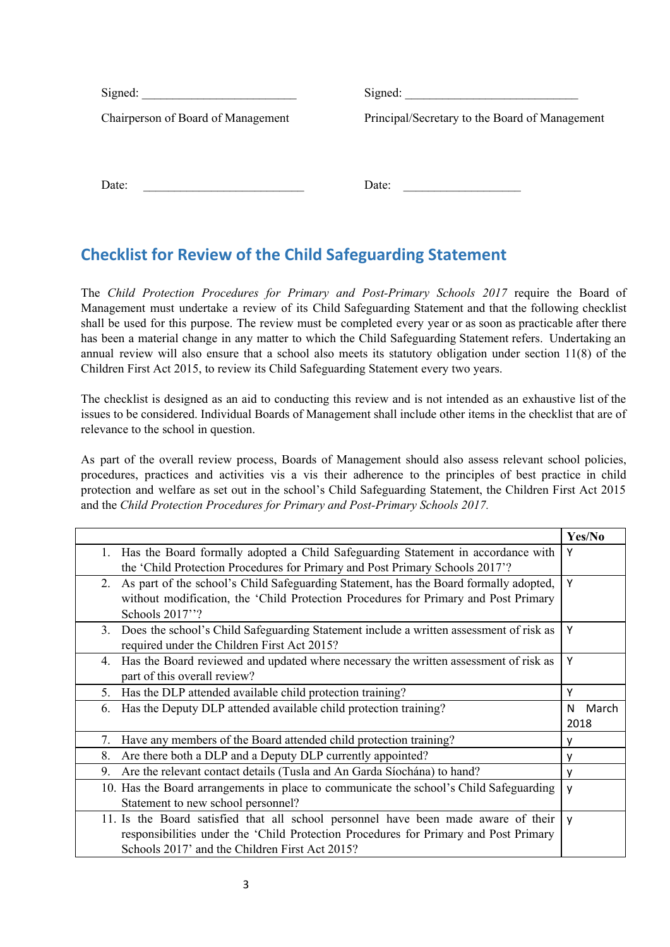| Signed:                            | Signed:                                        |
|------------------------------------|------------------------------------------------|
| Chairperson of Board of Management | Principal/Secretary to the Board of Management |
|                                    |                                                |
|                                    |                                                |
| Date:                              | Date:                                          |
|                                    |                                                |

# **Checklist for Review of the Child Safeguarding Statement**

The *Child Protection Procedures for Primary and Post-Primary Schools 2017* require the Board of Management must undertake a review of its Child Safeguarding Statement and that the following checklist shall be used for this purpose. The review must be completed every year or as soon as practicable after there has been a material change in any matter to which the Child Safeguarding Statement refers. Undertaking an annual review will also ensure that a school also meets its statutory obligation under section 11(8) of the Children First Act 2015, to review its Child Safeguarding Statement every two years.

The checklist is designed as an aid to conducting this review and is not intended as an exhaustive list of the issues to be considered. Individual Boards of Management shall include other items in the checklist that are of relevance to the school in question.

As part of the overall review process, Boards of Management should also assess relevant school policies, procedures, practices and activities vis a vis their adherence to the principles of best practice in child protection and welfare as set out in the school's Child Safeguarding Statement, the Children First Act 2015 and the *Child Protection Procedures for Primary and Post-Primary Schools 2017.*

|                                                                                                    | Yes/No     |
|----------------------------------------------------------------------------------------------------|------------|
| Has the Board formally adopted a Child Safeguarding Statement in accordance with<br>$\mathbf{1}$ . | Υ          |
| the 'Child Protection Procedures for Primary and Post Primary Schools 2017'?                       |            |
| As part of the school's Child Safeguarding Statement, has the Board formally adopted,<br>2.        | Υ          |
| without modification, the 'Child Protection Procedures for Primary and Post Primary                |            |
| Schools 2017"?                                                                                     |            |
| Does the school's Child Safeguarding Statement include a written assessment of risk as<br>$3_{-}$  | Υ          |
| required under the Children First Act 2015?                                                        |            |
| Has the Board reviewed and updated where necessary the written assessment of risk as<br>4.         | Y          |
| part of this overall review?                                                                       |            |
| Has the DLP attended available child protection training?<br>5.                                    | Υ          |
| Has the Deputy DLP attended available child protection training?<br>6.                             | March<br>N |
|                                                                                                    | 2018       |
| Have any members of the Board attended child protection training?<br>7.                            |            |
| Are there both a DLP and a Deputy DLP currently appointed?<br>8.                                   | v          |
| Are the relevant contact details (Tusla and An Garda Siochána) to hand?<br>9.                      | v          |
| 10. Has the Board arrangements in place to communicate the school's Child Safeguarding             | v          |
| Statement to new school personnel?                                                                 |            |
| 11. Is the Board satisfied that all school personnel have been made aware of their                 | v          |
| responsibilities under the 'Child Protection Procedures for Primary and Post Primary               |            |
| Schools 2017' and the Children First Act 2015?                                                     |            |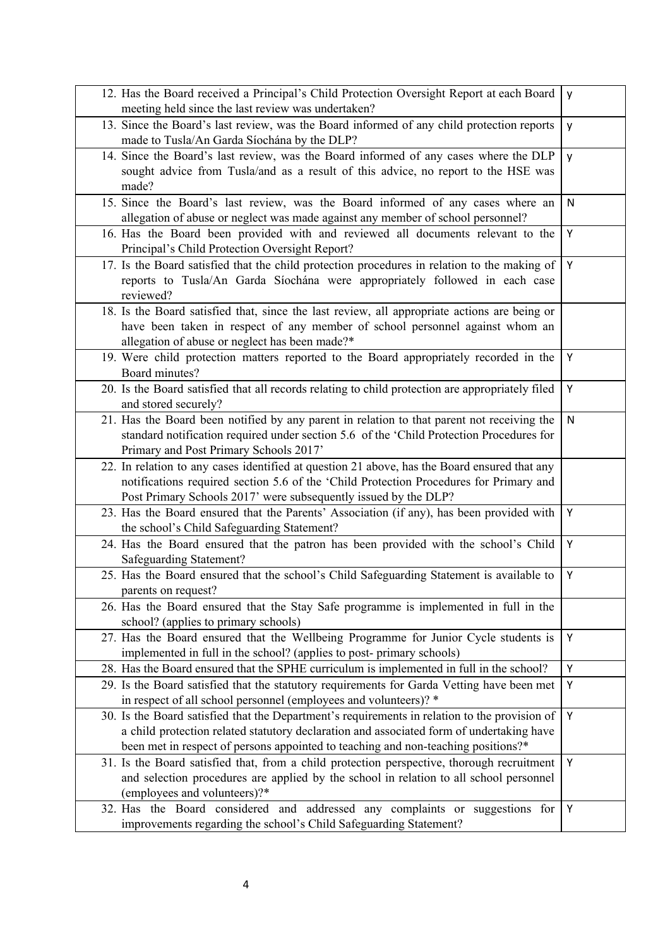| 12. Has the Board received a Principal's Child Protection Oversight Report at each Board<br>meeting held since the last review was undertaken?                                                                                                                                 |   |
|--------------------------------------------------------------------------------------------------------------------------------------------------------------------------------------------------------------------------------------------------------------------------------|---|
| 13. Since the Board's last review, was the Board informed of any child protection reports<br>made to Tusla/An Garda Síochána by the DLP?                                                                                                                                       | y |
| 14. Since the Board's last review, was the Board informed of any cases where the DLP<br>sought advice from Tusla/and as a result of this advice, no report to the HSE was<br>made?                                                                                             | y |
| 15. Since the Board's last review, was the Board informed of any cases where an<br>allegation of abuse or neglect was made against any member of school personnel?                                                                                                             | N |
| 16. Has the Board been provided with and reviewed all documents relevant to the<br>Principal's Child Protection Oversight Report?                                                                                                                                              | Υ |
| 17. Is the Board satisfied that the child protection procedures in relation to the making of<br>reports to Tusla/An Garda Síochána were appropriately followed in each case<br>reviewed?                                                                                       | Y |
| 18. Is the Board satisfied that, since the last review, all appropriate actions are being or<br>have been taken in respect of any member of school personnel against whom an<br>allegation of abuse or neglect has been made?*                                                 |   |
| 19. Were child protection matters reported to the Board appropriately recorded in the<br>Board minutes?                                                                                                                                                                        | Υ |
| 20. Is the Board satisfied that all records relating to child protection are appropriately filed<br>and stored securely?                                                                                                                                                       | Y |
| 21. Has the Board been notified by any parent in relation to that parent not receiving the<br>standard notification required under section 5.6 of the 'Child Protection Procedures for<br>Primary and Post Primary Schools 2017'                                               | N |
| 22. In relation to any cases identified at question 21 above, has the Board ensured that any<br>notifications required section 5.6 of the 'Child Protection Procedures for Primary and<br>Post Primary Schools 2017' were subsequently issued by the DLP?                      |   |
| 23. Has the Board ensured that the Parents' Association (if any), has been provided with<br>the school's Child Safeguarding Statement?                                                                                                                                         | Y |
| 24. Has the Board ensured that the patron has been provided with the school's Child<br><b>Safeguarding Statement?</b>                                                                                                                                                          | Υ |
| 25. Has the Board ensured that the school's Child Safeguarding Statement is available to<br>parents on request?                                                                                                                                                                | Υ |
| 26. Has the Board ensured that the Stay Safe programme is implemented in full in the<br>school? (applies to primary schools)                                                                                                                                                   |   |
| 27. Has the Board ensured that the Wellbeing Programme for Junior Cycle students is<br>implemented in full in the school? (applies to post-primary schools)                                                                                                                    | Υ |
| 28. Has the Board ensured that the SPHE curriculum is implemented in full in the school?                                                                                                                                                                                       | Y |
| 29. Is the Board satisfied that the statutory requirements for Garda Vetting have been met<br>in respect of all school personnel (employees and volunteers)? *                                                                                                                 | Υ |
| 30. Is the Board satisfied that the Department's requirements in relation to the provision of<br>a child protection related statutory declaration and associated form of undertaking have<br>been met in respect of persons appointed to teaching and non-teaching positions?* | Υ |
| 31. Is the Board satisfied that, from a child protection perspective, thorough recruitment<br>and selection procedures are applied by the school in relation to all school personnel<br>(employees and volunteers)?*                                                           | Υ |
| 32. Has the Board considered and addressed any complaints or suggestions for<br>improvements regarding the school's Child Safeguarding Statement?                                                                                                                              | Υ |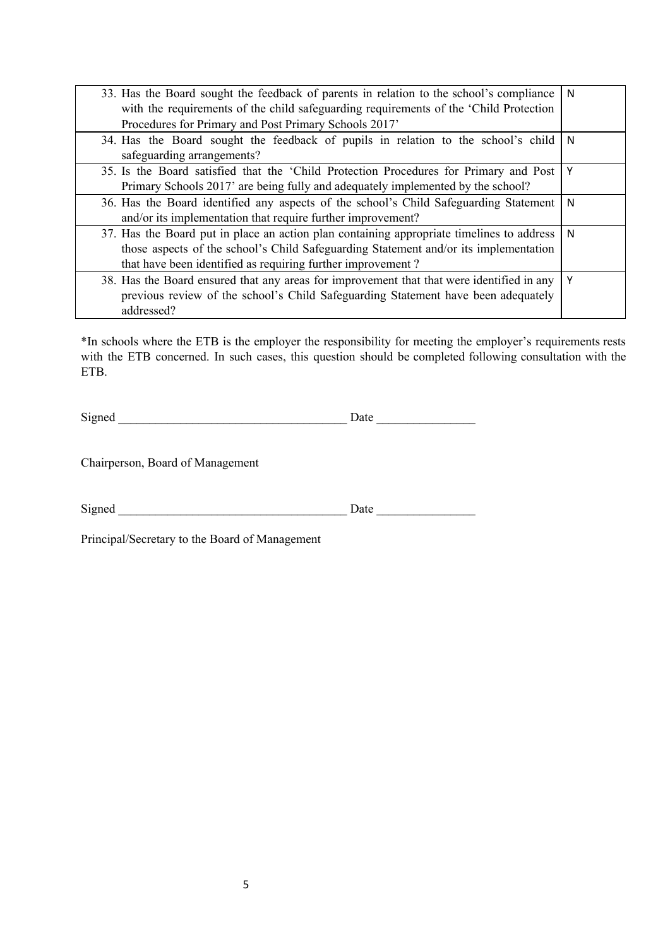| 33. Has the Board sought the feedback of parents in relation to the school's compliance<br>with the requirements of the child safeguarding requirements of the 'Child Protection<br>Procedures for Primary and Post Primary Schools 2017'        | N |
|--------------------------------------------------------------------------------------------------------------------------------------------------------------------------------------------------------------------------------------------------|---|
| 34. Has the Board sought the feedback of pupils in relation to the school's child<br>safeguarding arrangements?                                                                                                                                  | N |
| 35. Is the Board satisfied that the 'Child Protection Procedures for Primary and Post<br>Primary Schools 2017' are being fully and adequately implemented by the school?                                                                         | Υ |
| 36. Has the Board identified any aspects of the school's Child Safeguarding Statement<br>and/or its implementation that require further improvement?                                                                                             | N |
| 37. Has the Board put in place an action plan containing appropriate timelines to address<br>those aspects of the school's Child Safeguarding Statement and/or its implementation<br>that have been identified as requiring further improvement? | N |
| 38. Has the Board ensured that any areas for improvement that that were identified in any<br>previous review of the school's Child Safeguarding Statement have been adequately<br>addressed?                                                     | Υ |

\*In schools where the ETB is the employer the responsibility for meeting the employer's requirements rests with the ETB concerned. In such cases, this question should be completed following consultation with the ETB.

Signed \_\_\_\_\_\_\_\_\_\_\_\_\_\_\_\_\_\_\_\_\_\_\_\_\_\_\_\_\_\_\_\_\_\_\_\_\_ Date \_\_\_\_\_\_\_\_\_\_\_\_\_\_\_\_

Chairperson, Board of Management

Signed \_\_\_\_\_\_\_\_\_\_\_\_\_\_\_\_\_\_\_\_\_\_\_\_\_\_\_\_\_\_\_\_\_\_\_\_\_ Date \_\_\_\_\_\_\_\_\_\_\_\_\_\_\_\_

Principal/Secretary to the Board of Management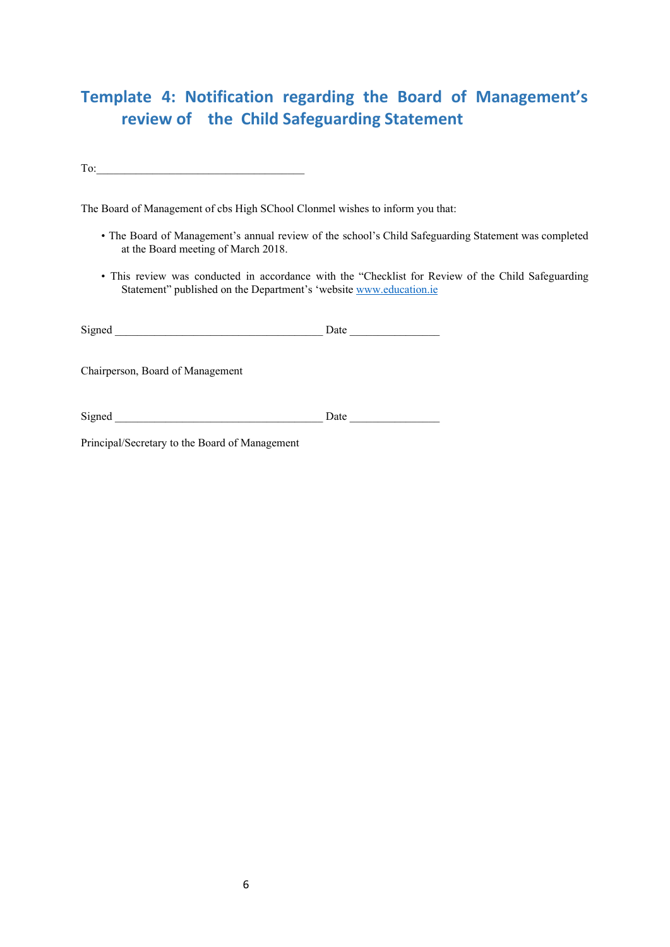# **Template 4: Notification regarding the Board of Management's review of the Child Safeguarding Statement**

 $To:$ 

The Board of Management of cbs High SChool Clonmel wishes to inform you that:

- The Board of Management's annual review of the school's Child Safeguarding Statement was completed at the Board meeting of March 2018.
- This review was conducted in accordance with the "Checklist for Review of the Child Safeguarding Statement" published on the Department's 'website [www.education.ie](http://www.education.ie/)

| Signed                                         | Date $\qquad \qquad$ |  |
|------------------------------------------------|----------------------|--|
| Chairperson, Board of Management               |                      |  |
| Signed                                         | Date                 |  |
| Principal/Secretary to the Board of Management |                      |  |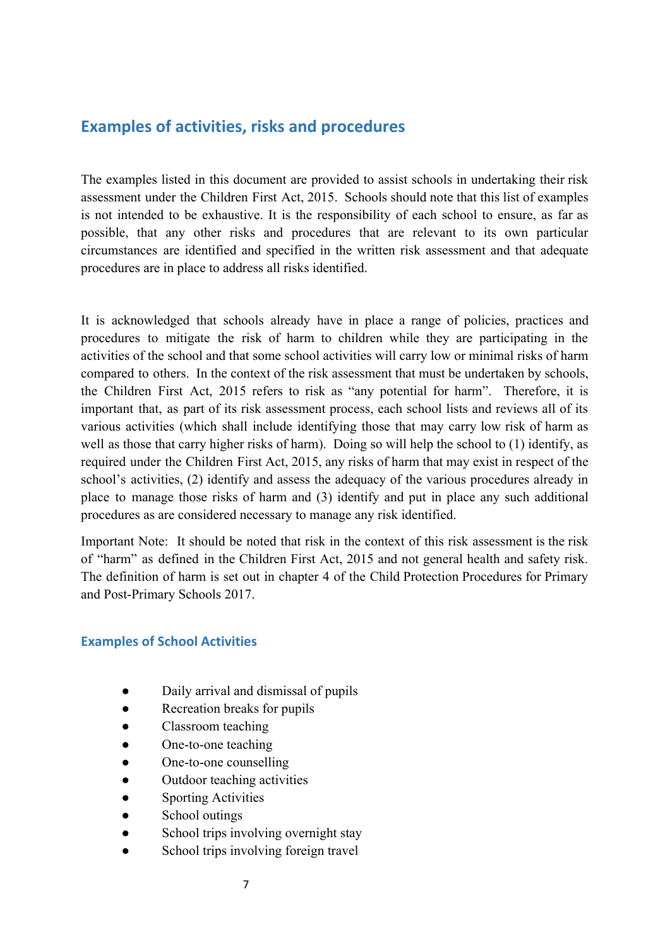## **Examples of activities, risks and procedures**

The examples listed in this document are provided to assist schools in undertaking their risk assessment under the Children First Act, 2015. Schools should note that this list of examples is not intended to be exhaustive. It is the responsibility of each school to ensure, as far as possible, that any other risks and procedures that are relevant to its own particular circumstances are identified and specified in the written risk assessment and that adequate procedures are in place to address all risks identified.

It is acknowledged that schools already have in place a range of policies, practices and procedures to mitigate the risk of harm to children while they are participating in the activities of the school and that some school activities will carry low or minimal risks of harm compared to others. In the context of the risk assessment that must be undertaken by schools, the Children First Act, 2015 refers to risk as "any potential for harm". Therefore, it is important that, as part of its risk assessment process, each school lists and reviews all of its various activities (which shall include identifying those that may carry low risk of harm as well as those that carry higher risks of harm). Doing so will help the school to (1) identify, as required under the Children First Act, 2015, any risks of harm that may exist in respect of the school's activities, (2) identify and assess the adequacy of the various procedures already in place to manage those risks of harm and (3) identify and put in place any such additional procedures as are considered necessary to manage any risk identified.

Important Note: It should be noted that risk in the context of this risk assessment is the risk of "harm" as defined in the Children First Act, 2015 and not general health and safety risk. The definition of harm is set out in chapter 4 of the Child Protection Procedures for Primary and Post-Primary Schools 2017.

#### **Examples of School Activities**

- Daily arrival and dismissal of pupils
- Recreation breaks for pupils
- Classroom teaching
- One-to-one teaching
- One-to-one counselling
- Outdoor teaching activities
- Sporting Activities
- School outings
- School trips involving overnight stay
- School trips involving foreign travel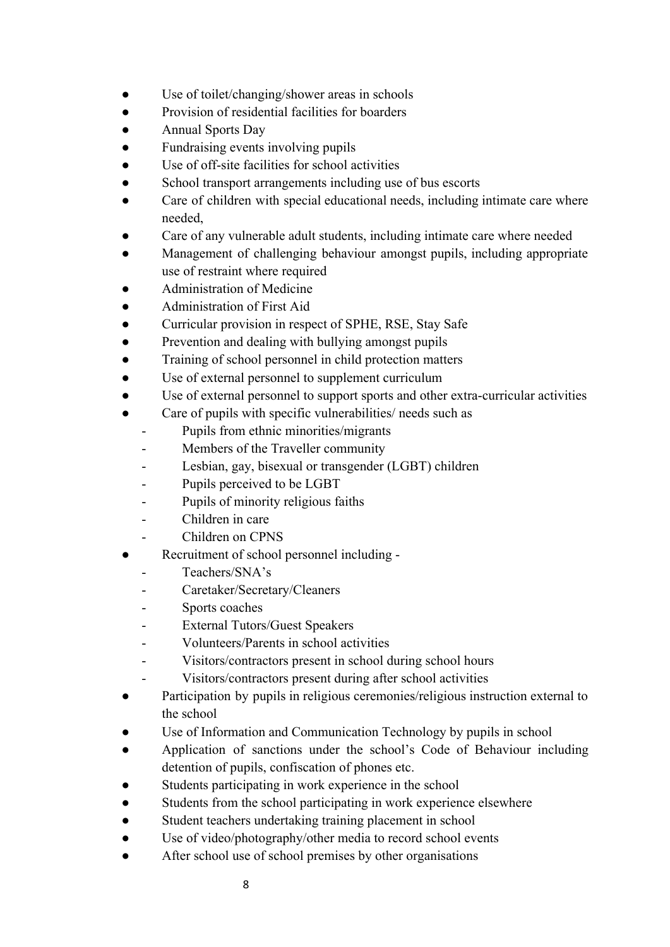- Use of toilet/changing/shower areas in schools
- Provision of residential facilities for boarders
- Annual Sports Day
- Fundraising events involving pupils
- Use of off-site facilities for school activities
- School transport arrangements including use of bus escorts
- Care of children with special educational needs, including intimate care where needed,
- Care of any vulnerable adult students, including intimate care where needed
- Management of challenging behaviour amongst pupils, including appropriate use of restraint where required
- Administration of Medicine
- Administration of First Aid
- Curricular provision in respect of SPHE, RSE, Stay Safe
- Prevention and dealing with bullying amongst pupils
- Training of school personnel in child protection matters
- Use of external personnel to supplement curriculum
- Use of external personnel to support sports and other extra-curricular activities
- Care of pupils with specific vulnerabilities/ needs such as
	- Pupils from ethnic minorities/migrants
	- Members of the Traveller community
	- Lesbian, gay, bisexual or transgender (LGBT) children
	- Pupils perceived to be LGBT
	- Pupils of minority religious faiths
	- Children in care
	- Children on CPNS
- Recruitment of school personnel including
	- Teachers/SNA's
	- Caretaker/Secretary/Cleaners
	- Sports coaches
	- External Tutors/Guest Speakers
	- Volunteers/Parents in school activities
	- Visitors/contractors present in school during school hours
		- Visitors/contractors present during after school activities
- Participation by pupils in religious ceremonies/religious instruction external to the school
- Use of Information and Communication Technology by pupils in school
- Application of sanctions under the school's Code of Behaviour including detention of pupils, confiscation of phones etc.
- Students participating in work experience in the school
- Students from the school participating in work experience elsewhere
- Student teachers undertaking training placement in school
- Use of video/photography/other media to record school events
- After school use of school premises by other organisations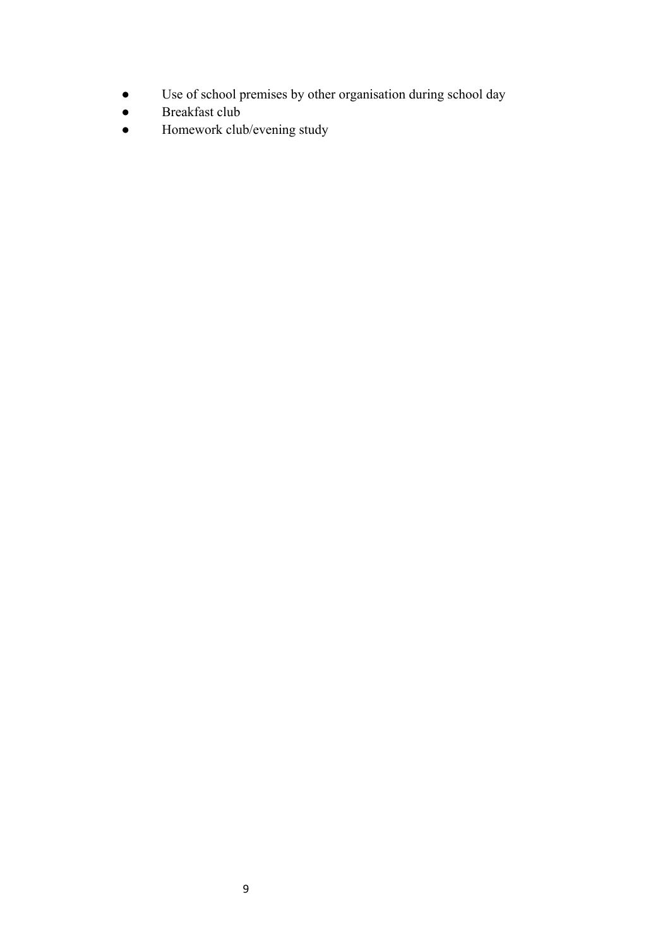- Use of school premises by other organisation during school day
- Breakfast club
- Homework club/evening study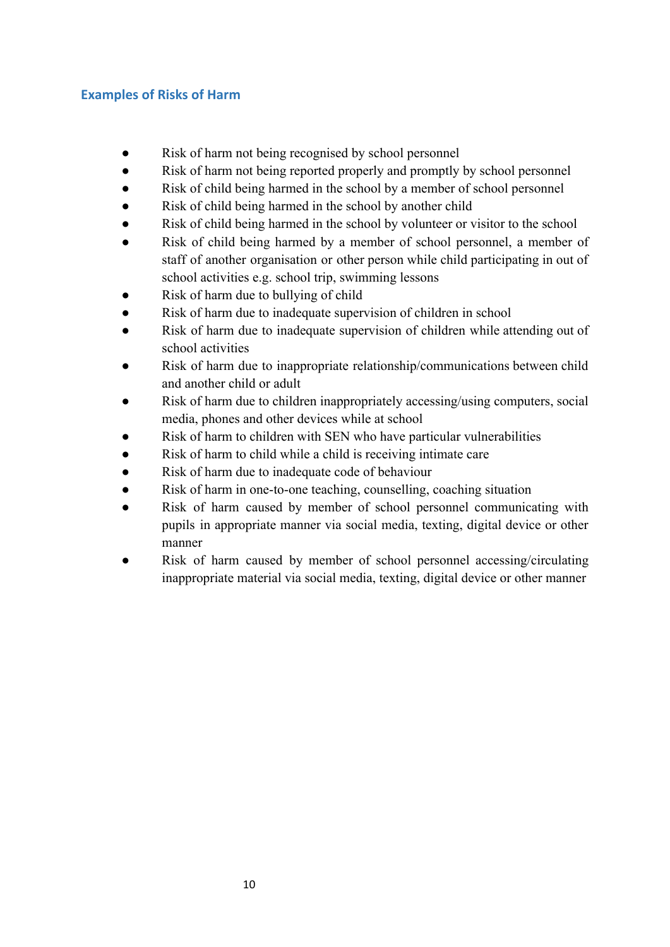### **Examples of Risks of Harm**

- Risk of harm not being recognised by school personnel
- Risk of harm not being reported properly and promptly by school personnel
- Risk of child being harmed in the school by a member of school personnel
- Risk of child being harmed in the school by another child
- Risk of child being harmed in the school by volunteer or visitor to the school
- Risk of child being harmed by a member of school personnel, a member of staff of another organisation or other person while child participating in out of school activities e.g. school trip, swimming lessons
- Risk of harm due to bullying of child
- Risk of harm due to inadequate supervision of children in school
- Risk of harm due to inadequate supervision of children while attending out of school activities
- Risk of harm due to inappropriate relationship/communications between child and another child or adult
- Risk of harm due to children inappropriately accessing/using computers, social media, phones and other devices while at school
- Risk of harm to children with SEN who have particular vulnerabilities
- Risk of harm to child while a child is receiving intimate care
- Risk of harm due to inadequate code of behaviour
- Risk of harm in one-to-one teaching, counselling, coaching situation
- Risk of harm caused by member of school personnel communicating with pupils in appropriate manner via social media, texting, digital device or other manner
- Risk of harm caused by member of school personnel accessing/circulating inappropriate material via social media, texting, digital device or other manner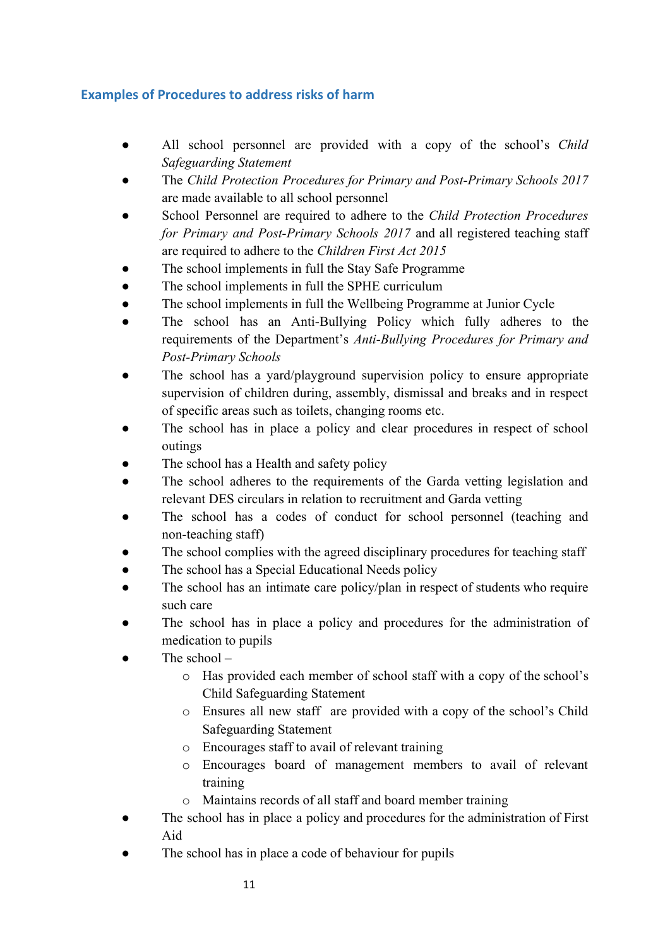## **Examples of Procedures to address risks of harm**

- *●* All school personnel are provided with a copy of the school's *Child Safeguarding Statement*
- The *Child Protection Procedures for Primary and Post-Primary Schools 2017* are made available to all school personnel
- School Personnel are required to adhere to the *Child Protection Procedures for Primary and Post-Primary Schools 2017* and all registered teaching staff are required to adhere to the *Children First Act 2015*
- The school implements in full the Stay Safe Programme
- The school implements in full the SPHE curriculum
- The school implements in full the Wellbeing Programme at Junior Cycle
- The school has an Anti-Bullying Policy which fully adheres to the requirements of the Department's *Anti-Bullying Procedures for Primary and Post-Primary Schools*
- The school has a yard/playground supervision policy to ensure appropriate supervision of children during, assembly, dismissal and breaks and in respect of specific areas such as toilets, changing rooms etc.
- The school has in place a policy and clear procedures in respect of school outings
- The school has a Health and safety policy
- The school adheres to the requirements of the Garda vetting legislation and relevant DES circulars in relation to recruitment and Garda vetting
- The school has a codes of conduct for school personnel (teaching and non-teaching staff)
- The school complies with the agreed disciplinary procedures for teaching staff
- The school has a Special Educational Needs policy
- The school has an intimate care policy/plan in respect of students who require such care
- The school has in place a policy and procedures for the administration of medication to pupils
- The school  $$ 
	- o Has provided each member of school staff with a copy of the school's Child Safeguarding Statement
	- o Ensures all new staff are provided with a copy of the school's Child Safeguarding Statement
	- o Encourages staff to avail of relevant training
	- o Encourages board of management members to avail of relevant training
	- o Maintains records of all staff and board member training
- The school has in place a policy and procedures for the administration of First Aid
- The school has in place a code of behaviour for pupils